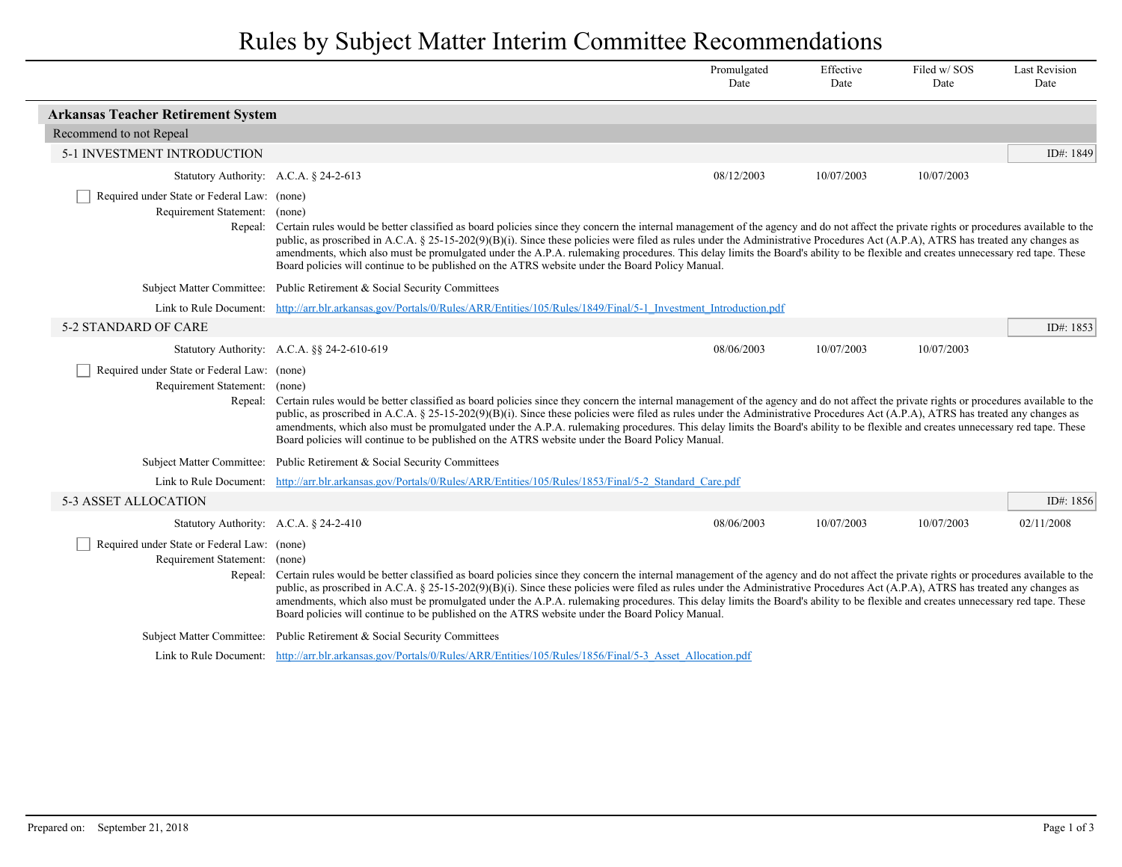## Rules by Subject Matter Interim Committee Recommendations

|                                                                                         |                                                                                                                                                                                                                                                                                                                                                                                                                                                                                                                                                                                                                                                                          | Promulgated<br>Date | Effective<br>Date | Filed w/SOS<br>Date | <b>Last Revision</b><br>Date |
|-----------------------------------------------------------------------------------------|--------------------------------------------------------------------------------------------------------------------------------------------------------------------------------------------------------------------------------------------------------------------------------------------------------------------------------------------------------------------------------------------------------------------------------------------------------------------------------------------------------------------------------------------------------------------------------------------------------------------------------------------------------------------------|---------------------|-------------------|---------------------|------------------------------|
| <b>Arkansas Teacher Retirement System</b>                                               |                                                                                                                                                                                                                                                                                                                                                                                                                                                                                                                                                                                                                                                                          |                     |                   |                     |                              |
| Recommend to not Repeal                                                                 |                                                                                                                                                                                                                                                                                                                                                                                                                                                                                                                                                                                                                                                                          |                     |                   |                     |                              |
| 5-1 INVESTMENT INTRODUCTION                                                             |                                                                                                                                                                                                                                                                                                                                                                                                                                                                                                                                                                                                                                                                          |                     |                   |                     | ID#: 1849                    |
| Statutory Authority: A.C.A. § 24-2-613                                                  |                                                                                                                                                                                                                                                                                                                                                                                                                                                                                                                                                                                                                                                                          | 08/12/2003          | 10/07/2003        | 10/07/2003          |                              |
| Required under State or Federal Law: (none)<br>Requirement Statement: (none)            | Repeal: Certain rules would be better classified as board policies since they concern the internal management of the agency and do not affect the private rights or procedures available to the<br>public, as proscribed in A.C.A. § 25-15-202(9)(B)(i). Since these policies were filed as rules under the Administrative Procedures Act (A.P.A), ATRS has treated any changes as<br>amendments, which also must be promulgated under the A.P.A. rulemaking procedures. This delay limits the Board's ability to be flexible and creates unnecessary red tape. These<br>Board policies will continue to be published on the ATRS website under the Board Policy Manual. |                     |                   |                     |                              |
|                                                                                         | Subject Matter Committee: Public Retirement & Social Security Committees                                                                                                                                                                                                                                                                                                                                                                                                                                                                                                                                                                                                 |                     |                   |                     |                              |
|                                                                                         | Link to Rule Document: http://arr.blr.arkansas.gov/Portals/0/Rules/ARR/Entities/105/Rules/1849/Final/5-1 Investment Introduction.pdf                                                                                                                                                                                                                                                                                                                                                                                                                                                                                                                                     |                     |                   |                     |                              |
| <b>5-2 STANDARD OF CARE</b>                                                             |                                                                                                                                                                                                                                                                                                                                                                                                                                                                                                                                                                                                                                                                          |                     |                   |                     | ID#: 1853                    |
|                                                                                         | Statutory Authority: A.C.A. §§ 24-2-610-619                                                                                                                                                                                                                                                                                                                                                                                                                                                                                                                                                                                                                              | 08/06/2003          | 10/07/2003        | 10/07/2003          |                              |
| Required under State or Federal Law: (none)<br>Requirement Statement: (none)            | Repeal: Certain rules would be better classified as board policies since they concern the internal management of the agency and do not affect the private rights or procedures available to the<br>public, as proscribed in A.C.A. § 25-15-202(9)(B)(i). Since these policies were filed as rules under the Administrative Procedures Act (A.P.A), ATRS has treated any changes as<br>amendments, which also must be promulgated under the A.P.A. rulemaking procedures. This delay limits the Board's ability to be flexible and creates unnecessary red tape. These<br>Board policies will continue to be published on the ATRS website under the Board Policy Manual. |                     |                   |                     |                              |
|                                                                                         | Subject Matter Committee: Public Retirement & Social Security Committees                                                                                                                                                                                                                                                                                                                                                                                                                                                                                                                                                                                                 |                     |                   |                     |                              |
|                                                                                         | Link to Rule Document: http://arr.blr.arkansas.gov/Portals/0/Rules/ARR/Entities/105/Rules/1853/Final/5-2 Standard Care.pdf                                                                                                                                                                                                                                                                                                                                                                                                                                                                                                                                               |                     |                   |                     |                              |
| 5-3 ASSET ALLOCATION                                                                    |                                                                                                                                                                                                                                                                                                                                                                                                                                                                                                                                                                                                                                                                          |                     |                   |                     | ID#: 1856                    |
| Statutory Authority: A.C.A. § 24-2-410                                                  |                                                                                                                                                                                                                                                                                                                                                                                                                                                                                                                                                                                                                                                                          | 08/06/2003          | 10/07/2003        | 10/07/2003          | 02/11/2008                   |
| Required under State or Federal Law: (none)<br>Requirement Statement: (none)<br>Repeal: | Certain rules would be better classified as board policies since they concern the internal management of the agency and do not affect the private rights or procedures available to the<br>public, as proscribed in A.C.A. § 25-15-202(9)(B)(i). Since these policies were filed as rules under the Administrative Procedures Act (A.P.A), ATRS has treated any changes as<br>amendments, which also must be promulgated under the A.P.A. rulemaking procedures. This delay limits the Board's ability to be flexible and creates unnecessary red tape. These<br>Board policies will continue to be published on the ATRS website under the Board Policy Manual.         |                     |                   |                     |                              |
|                                                                                         | Subject Matter Committee: Public Retirement & Social Security Committees                                                                                                                                                                                                                                                                                                                                                                                                                                                                                                                                                                                                 |                     |                   |                     |                              |
|                                                                                         | Link to Rule Document: http://arr.blr.arkansas.gov/Portals/0/Rules/ARR/Entities/105/Rules/1856/Final/5-3 Asset Allocation.pdf                                                                                                                                                                                                                                                                                                                                                                                                                                                                                                                                            |                     |                   |                     |                              |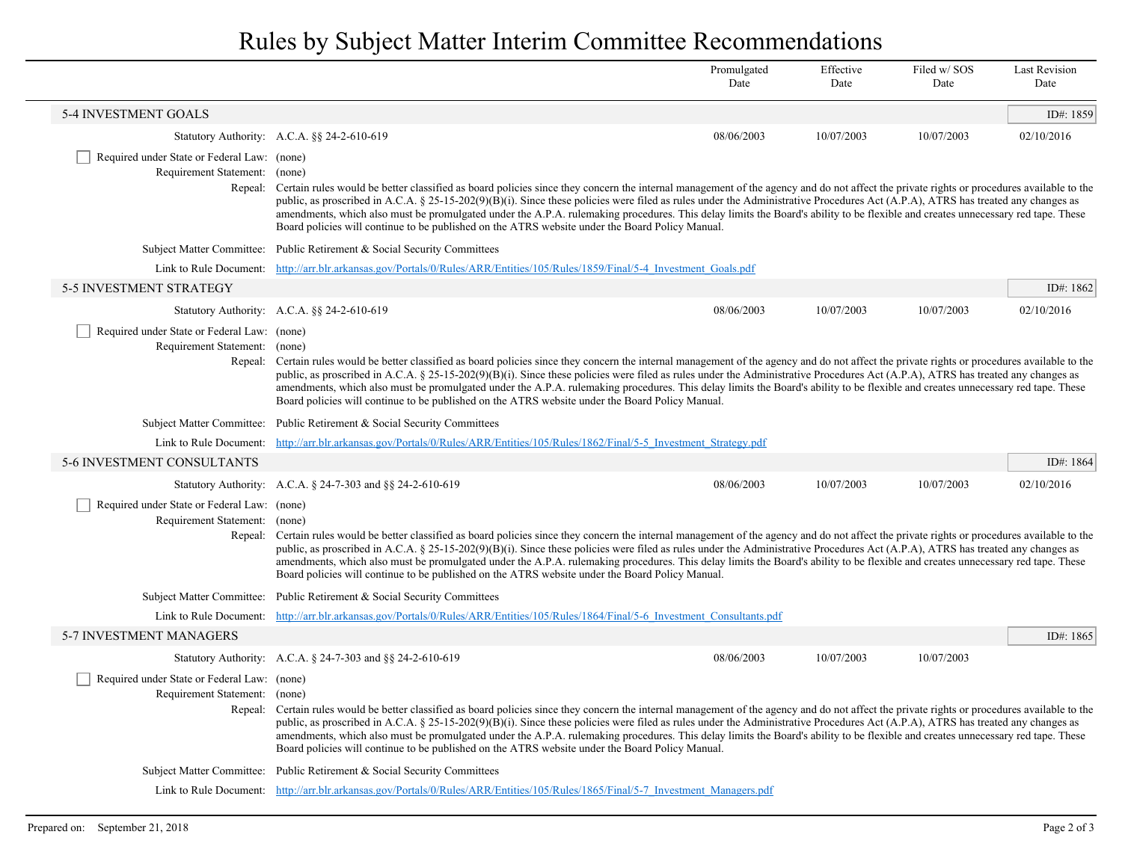## Rules by Subject Matter Interim Committee Recommendations

|                                                                                         |                                                                                                                                                                                                                                                                                                                                                                                                                                                                                                                                                                                                                                                                          | Promulgated<br>Date | Effective<br>Date | Filed w/SOS<br>Date | <b>Last Revision</b><br>Date |
|-----------------------------------------------------------------------------------------|--------------------------------------------------------------------------------------------------------------------------------------------------------------------------------------------------------------------------------------------------------------------------------------------------------------------------------------------------------------------------------------------------------------------------------------------------------------------------------------------------------------------------------------------------------------------------------------------------------------------------------------------------------------------------|---------------------|-------------------|---------------------|------------------------------|
| <b>5-4 INVESTMENT GOALS</b>                                                             |                                                                                                                                                                                                                                                                                                                                                                                                                                                                                                                                                                                                                                                                          |                     |                   |                     | ID#: 1859                    |
|                                                                                         | Statutory Authority: A.C.A. §§ 24-2-610-619                                                                                                                                                                                                                                                                                                                                                                                                                                                                                                                                                                                                                              | 08/06/2003          | 10/07/2003        | 10/07/2003          | 02/10/2016                   |
| Required under State or Federal Law: (none)<br>Requirement Statement: (none)<br>Repeal: | Certain rules would be better classified as board policies since they concern the internal management of the agency and do not affect the private rights or procedures available to the<br>public, as proscribed in A.C.A. § 25-15-202(9)(B)(i). Since these policies were filed as rules under the Administrative Procedures Act (A.P.A), ATRS has treated any changes as<br>amendments, which also must be promulgated under the A.P.A. rulemaking procedures. This delay limits the Board's ability to be flexible and creates unnecessary red tape. These<br>Board policies will continue to be published on the ATRS website under the Board Policy Manual.         |                     |                   |                     |                              |
|                                                                                         | Subject Matter Committee: Public Retirement & Social Security Committees                                                                                                                                                                                                                                                                                                                                                                                                                                                                                                                                                                                                 |                     |                   |                     |                              |
|                                                                                         | Link to Rule Document: http://arr.blr.arkansas.gov/Portals/0/Rules/ARR/Entities/105/Rules/1859/Final/5-4 Investment Goals.pdf                                                                                                                                                                                                                                                                                                                                                                                                                                                                                                                                            |                     |                   |                     |                              |
| 5-5 INVESTMENT STRATEGY                                                                 |                                                                                                                                                                                                                                                                                                                                                                                                                                                                                                                                                                                                                                                                          |                     |                   |                     | ID#: 1862                    |
|                                                                                         | Statutory Authority: A.C.A. §§ 24-2-610-619                                                                                                                                                                                                                                                                                                                                                                                                                                                                                                                                                                                                                              | 08/06/2003          | 10/07/2003        | 10/07/2003          | 02/10/2016                   |
| Required under State or Federal Law: (none)<br>Requirement Statement: (none)            | Repeal: Certain rules would be better classified as board policies since they concern the internal management of the agency and do not affect the private rights or procedures available to the<br>public, as proscribed in A.C.A. § 25-15-202(9)(B)(i). Since these policies were filed as rules under the Administrative Procedures Act (A.P.A), ATRS has treated any changes as<br>amendments, which also must be promulgated under the A.P.A. rulemaking procedures. This delay limits the Board's ability to be flexible and creates unnecessary red tape. These<br>Board policies will continue to be published on the ATRS website under the Board Policy Manual. |                     |                   |                     |                              |
|                                                                                         | Subject Matter Committee: Public Retirement & Social Security Committees                                                                                                                                                                                                                                                                                                                                                                                                                                                                                                                                                                                                 |                     |                   |                     |                              |
| Link to Rule Document:                                                                  | http://arr.blr.arkansas.gov/Portals/0/Rules/ARR/Entities/105/Rules/1862/Final/5-5 Investment Strategy.pdf                                                                                                                                                                                                                                                                                                                                                                                                                                                                                                                                                                |                     |                   |                     |                              |
| 5-6 INVESTMENT CONSULTANTS                                                              |                                                                                                                                                                                                                                                                                                                                                                                                                                                                                                                                                                                                                                                                          |                     |                   |                     | ID#: 1864                    |
|                                                                                         | Statutory Authority: A.C.A. § 24-7-303 and §§ 24-2-610-619                                                                                                                                                                                                                                                                                                                                                                                                                                                                                                                                                                                                               | 08/06/2003          | 10/07/2003        | 10/07/2003          | 02/10/2016                   |
| Required under State or Federal Law: (none)<br>Requirement Statement: (none)            | Repeal: Certain rules would be better classified as board policies since they concern the internal management of the agency and do not affect the private rights or procedures available to the<br>public, as proscribed in A.C.A. § 25-15-202(9)(B)(i). Since these policies were filed as rules under the Administrative Procedures Act (A.P.A), ATRS has treated any changes as<br>amendments, which also must be promulgated under the A.P.A. rulemaking procedures. This delay limits the Board's ability to be flexible and creates unnecessary red tape. These<br>Board policies will continue to be published on the ATRS website under the Board Policy Manual. |                     |                   |                     |                              |
|                                                                                         | Subject Matter Committee: Public Retirement & Social Security Committees                                                                                                                                                                                                                                                                                                                                                                                                                                                                                                                                                                                                 |                     |                   |                     |                              |
| Link to Rule Document:                                                                  | http://arr.blr.arkansas.gov/Portals/0/Rules/ARR/Entities/105/Rules/1864/Final/5-6 Investment Consultants.pdf                                                                                                                                                                                                                                                                                                                                                                                                                                                                                                                                                             |                     |                   |                     |                              |
| <b>5-7 INVESTMENT MANAGERS</b>                                                          |                                                                                                                                                                                                                                                                                                                                                                                                                                                                                                                                                                                                                                                                          |                     |                   |                     | ID#: 1865                    |
|                                                                                         | Statutory Authority: A.C.A. § 24-7-303 and §§ 24-2-610-619                                                                                                                                                                                                                                                                                                                                                                                                                                                                                                                                                                                                               | 08/06/2003          | 10/07/2003        | 10/07/2003          |                              |
| Required under State or Federal Law: (none)<br>Requirement Statement: (none)            | Repeal: Certain rules would be better classified as board policies since they concern the internal management of the agency and do not affect the private rights or procedures available to the<br>public, as proscribed in A.C.A. § 25-15-202(9)(B)(i). Since these policies were filed as rules under the Administrative Procedures Act (A.P.A), ATRS has treated any changes as<br>amendments, which also must be promulgated under the A.P.A. rulemaking procedures. This delay limits the Board's ability to be flexible and creates unnecessary red tape. These<br>Board policies will continue to be published on the ATRS website under the Board Policy Manual. |                     |                   |                     |                              |
|                                                                                         | Subject Matter Committee: Public Retirement & Social Security Committees                                                                                                                                                                                                                                                                                                                                                                                                                                                                                                                                                                                                 |                     |                   |                     |                              |
|                                                                                         | Link to Rule Document: http://arr.blr.arkansas.gov/Portals/0/Rules/ARR/Entities/105/Rules/1865/Final/5-7 Investment Managers.pdf                                                                                                                                                                                                                                                                                                                                                                                                                                                                                                                                         |                     |                   |                     |                              |